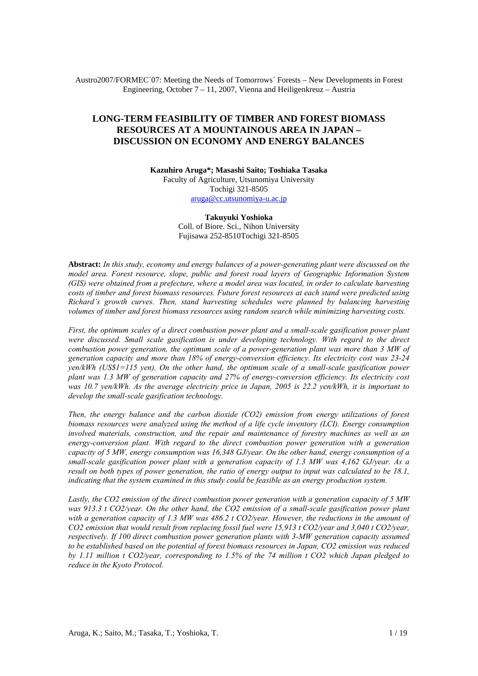Austro2007/FORMEC´07: Meeting the Needs of Tomorrows´ Forests – New Developments in Forest Engineering, October  $7 - 11$ , 2007, Vienna and Heiligenkreuz – Austria

# **LONG-TERM FEASIBILITY OF TIMBER AND FOREST BIOMASS RESOURCES AT A MOUNTAINOUS AREA IN JAPAN – DISCUSSION ON ECONOMY AND ENERGY BALANCES**

**Kazuhiro Aruga\*; Masashi Saito; Toshiaka Tasaka**  Faculty of Agriculture, Utsunomiya University Tochigi 321-8505 aruga@cc.utsunomiya-u.ac.jp

**Takuyuki Yoshioka**  Coll. of Biore. Sci., Nihon University Fujisawa 252-8510Tochigi 321-8505

**Abstract:** *In this study, economy and energy balances of a power-generating plant were discussed on the model area. Forest resource, slope, public and forest road layers of Geographic Information System (GIS) were obtained from a prefecture, where a model area was located, in order to calculate harvesting costs of timber and forest biomass resources. Future forest resources at each stand were predicted using Richard's growth curves. Then, stand harvesting schedules were planned by balancing harvesting volumes of timber and forest biomass resources using random search while minimizing harvesting costs.* 

*First, the optimum scales of a direct combustion power plant and a small-scale gasification power plant were discussed. Small scale gasification is under developing technology. With regard to the direct combustion power generation, the optimum scale of a power-generation plant was more than 3 MW of generation capacity and more than 18% of energy-conversion efficiency. Its electricity cost was 23-24 yen/kWh (US\$1=115 yen). On the other hand, the optimum scale of a small-scale gasification power plant was 1.3 MW of generation capacity and 27% of energy-conversion efficiency. Its electricity cost was 10.7 yen/kWh. As the average electricity price in Japan, 2005 is 22.2 yen/kWh, it is important to develop the small-scale gasification technology.* 

*Then, the energy balance and the carbon dioxide (CO2) emission from energy utilizations of forest biomass resources were analyzed using the method of a life cycle inventory (LCI). Energy consumption involved materials, construction, and the repair and maintenance of forestry machines as well as an energy-conversion plant. With regard to the direct combustion power generation with a generation capacity of 5 MW, energy consumption was 16,348 GJ/year. On the other hand, energy consumption of a small-scale gasification power plant with a generation capacity of 1.3 MW was 4,162 GJ/year. As a result on both types of power generation, the ratio of energy output to input was calculated to be 18.1, indicating that the system examined in this study could be feasible as an energy production system.* 

*Lastly, the CO2 emission of the direct combustion power generation with a generation capacity of 5 MW was 913.3 t CO2/year. On the other hand, the CO2 emission of a small-scale gasification power plant with a generation capacity of 1.3 MW was 486.2 t CO2/year. However, the reductions in the amount of CO2 emission that would result from replacing fossil fuel were 15,913 t CO2/year and 3,040 t CO2/year, respectively. If 100 direct combustion power generation plants with 3-MW generation capacity assumed to be established based on the potential of forest biomass resources in Japan, CO2 emission was reduced by 1.11 million t CO2/year, corresponding to 1.5% of the 74 million t CO2 which Japan pledged to reduce in the Kyoto Protocol.*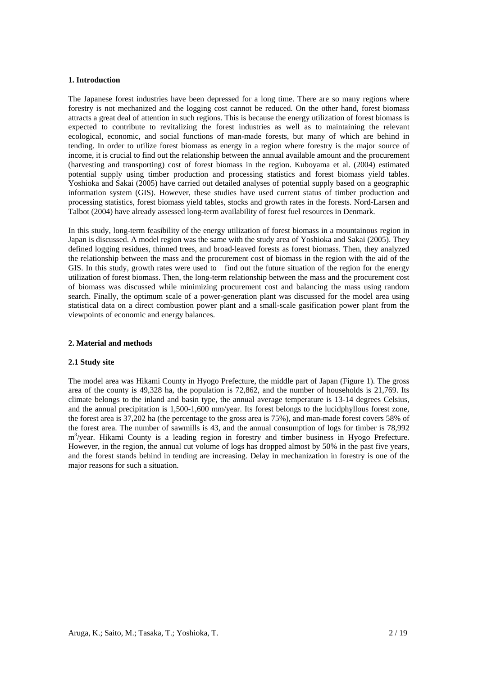#### **1. Introduction**

The Japanese forest industries have been depressed for a long time. There are so many regions where forestry is not mechanized and the logging cost cannot be reduced. On the other hand, forest biomass attracts a great deal of attention in such regions. This is because the energy utilization of forest biomass is expected to contribute to revitalizing the forest industries as well as to maintaining the relevant ecological, economic, and social functions of man-made forests, but many of which are behind in tending. In order to utilize forest biomass as energy in a region where forestry is the major source of income, it is crucial to find out the relationship between the annual available amount and the procurement (harvesting and transporting) cost of forest biomass in the region. Kuboyama et al. (2004) estimated potential supply using timber production and processing statistics and forest biomass yield tables. Yoshioka and Sakai (2005) have carried out detailed analyses of potential supply based on a geographic information system (GIS). However, these studies have used current status of timber production and processing statistics, forest biomass yield tables, stocks and growth rates in the forests. Nord-Larsen and Talbot (2004) have already assessed long-term availability of forest fuel resources in Denmark.

In this study, long-term feasibility of the energy utilization of forest biomass in a mountainous region in Japan is discussed. A model region was the same with the study area of Yoshioka and Sakai (2005). They defined logging residues, thinned trees, and broad-leaved forests as forest biomass. Then, they analyzed the relationship between the mass and the procurement cost of biomass in the region with the aid of the GIS. In this study, growth rates were used to find out the future situation of the region for the energy utilization of forest biomass. Then, the long-term relationship between the mass and the procurement cost of biomass was discussed while minimizing procurement cost and balancing the mass using random search. Finally, the optimum scale of a power-generation plant was discussed for the model area using statistical data on a direct combustion power plant and a small-scale gasification power plant from the viewpoints of economic and energy balances.

# **2. Material and methods**

#### **2.1 Study site**

The model area was Hikami County in Hyogo Prefecture, the middle part of Japan (Figure 1). The gross area of the county is 49,328 ha, the population is 72,862, and the number of households is 21,769. Its climate belongs to the inland and basin type, the annual average temperature is 13-14 degrees Celsius, and the annual precipitation is 1,500-1,600 mm/year. Its forest belongs to the lucidphyllous forest zone, the forest area is 37,202 ha (the percentage to the gross area is 75%), and man-made forest covers 58% of the forest area. The number of sawmills is 43, and the annual consumption of logs for timber is 78,992 m<sup>3</sup>/year. Hikami County is a leading region in forestry and timber business in Hyogo Prefecture. However, in the region, the annual cut volume of logs has dropped almost by 50% in the past five years, and the forest stands behind in tending are increasing. Delay in mechanization in forestry is one of the major reasons for such a situation.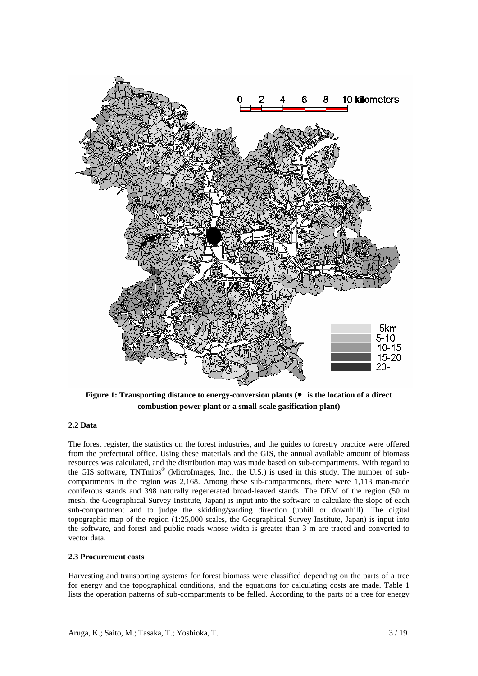

**Figure 1: Transporting distance to energy-conversion plants (**● **is the location of a direct combustion power plant or a small-scale gasification plant)** 

# **2.2 Data**

The forest register, the statistics on the forest industries, and the guides to forestry practice were offered from the prefectural office. Using these materials and the GIS, the annual available amount of biomass resources was calculated, and the distribution map was made based on sub-compartments. With regard to the GIS software, TNTmips® (MicroImages, Inc., the U.S.) is used in this study. The number of subcompartments in the region was 2,168. Among these sub-compartments, there were 1,113 man-made coniferous stands and 398 naturally regenerated broad-leaved stands. The DEM of the region (50 m mesh, the Geographical Survey Institute, Japan) is input into the software to calculate the slope of each sub-compartment and to judge the skidding/yarding direction (uphill or downhill). The digital topographic map of the region (1:25,000 scales, the Geographical Survey Institute, Japan) is input into the software, and forest and public roads whose width is greater than 3 m are traced and converted to vector data.

#### **2.3 Procurement costs**

Harvesting and transporting systems for forest biomass were classified depending on the parts of a tree for energy and the topographical conditions, and the equations for calculating costs are made. Table 1 lists the operation patterns of sub-compartments to be felled. According to the parts of a tree for energy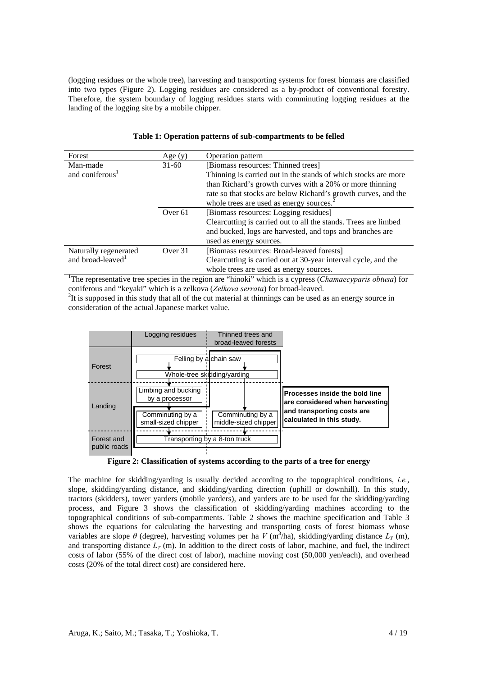(logging residues or the whole tree), harvesting and transporting systems for forest biomass are classified into two types (Figure 2). Logging residues are considered as a by-product of conventional forestry. Therefore, the system boundary of logging residues starts with comminuting logging residues at the landing of the logging site by a mobile chipper.

| Forest                                                                                                                         | Age $(y)$          | <b>Operation pattern</b>                                        |  |
|--------------------------------------------------------------------------------------------------------------------------------|--------------------|-----------------------------------------------------------------|--|
| Man-made                                                                                                                       | $31-60$            | [Biomass resources: Thinned trees]                              |  |
| and coniferous <sup>1</sup>                                                                                                    |                    | Thinning is carried out in the stands of which stocks are more  |  |
|                                                                                                                                |                    | than Richard's growth curves with a 20% or more thinning        |  |
|                                                                                                                                |                    | rate so that stocks are below Richard's growth curves, and the  |  |
|                                                                                                                                |                    | whole trees are used as energy sources. <sup>2</sup>            |  |
|                                                                                                                                | Over <sub>61</sub> | [Biomass resources: Logging residues]                           |  |
|                                                                                                                                |                    | Clearcutting is carried out to all the stands. Trees are limbed |  |
|                                                                                                                                |                    | and bucked, logs are harvested, and tops and branches are       |  |
|                                                                                                                                |                    | used as energy sources.                                         |  |
| Naturally regenerated                                                                                                          | Over 31            | [Biomass resources: Broad-leaved forests]                       |  |
| and broad-leaved <sup>1</sup>                                                                                                  |                    | Clearcutting is carried out at 30-year interval cycle, and the  |  |
|                                                                                                                                |                    | whole trees are used as energy sources.                         |  |
| <sup>1</sup> The representative tree species in the region are "hinoki" which is a cypress ( <i>Chamaecyparis obtusa</i> ) for |                    |                                                                 |  |

#### **Table 1: Operation patterns of sub-compartments to be felled**

coniferous and "keyaki" which is a zelkova (*Zelkova serrata*) for broad-leaved. 2

 $I<sup>2</sup>$ It is supposed in this study that all of the cut material at thinnings can be used as an energy source in consideration of the actual Japanese market value.



**Figure 2: Classification of systems according to the parts of a tree for energy** 

The machine for skidding/yarding is usually decided according to the topographical conditions, *i.e.*, slope, skidding/yarding distance, and skidding/yarding direction (uphill or downhill). In this study, tractors (skidders), tower yarders (mobile yarders), and yarders are to be used for the skidding/yarding process, and Figure 3 shows the classification of skidding/yarding machines according to the topographical conditions of sub-compartments. Table 2 shows the machine specification and Table 3 shows the equations for calculating the harvesting and transporting costs of forest biomass whose variables are slope  $\theta$  (degree), harvesting volumes per ha  $V$  (m<sup>3</sup>/ha), skidding/yarding distance  $L_Y$  (m), and transporting distance  $L_T$  (m). In addition to the direct costs of labor, machine, and fuel, the indirect costs of labor (55% of the direct cost of labor), machine moving cost (50,000 yen/each), and overhead costs (20% of the total direct cost) are considered here.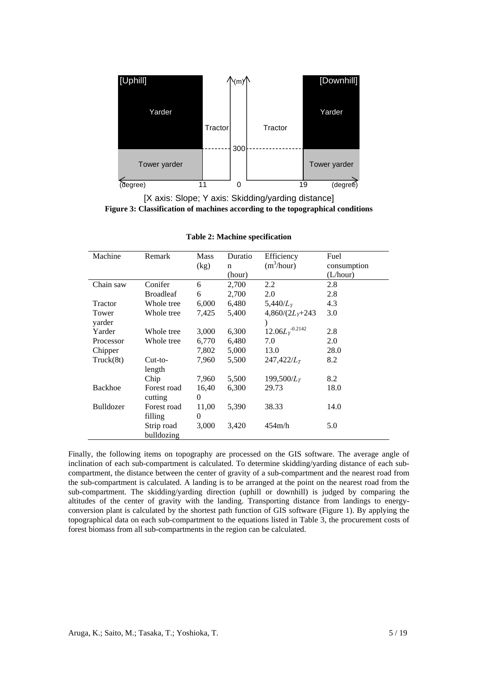

[X axis: Slope; Y axis: Skidding/yarding distance] **Figure 3: Classification of machines according to the topographical conditions** 

| Machine   | Remark           | <b>Mass</b> | Duratio     | Efficiency             | Fuel        |
|-----------|------------------|-------------|-------------|------------------------|-------------|
|           |                  | (kg)        | $\mathbf n$ | (m <sup>3</sup> /hour) | consumption |
|           |                  |             | (hour)      |                        | (L/hour)    |
| Chain saw | Conifer          | 6           | 2,700       | 2.2                    | 2.8         |
|           | <b>Broadleaf</b> | 6           | 2,700       | 2.0                    | 2.8         |
| Tractor   | Whole tree       | 6,000       | 6,480       | 5,440/ $L_{Y}$         | 4.3         |
| Tower     | Whole tree       | 7,425       | 5,400       | $4,860/(2L_v+243)$     | 3.0         |
| varder    |                  |             |             |                        |             |
| Yarder    | Whole tree       | 3,000       | 6,300       | $12.06L_Y^{-0.2142}$   | 2.8         |
| Processor | Whole tree       | 6,770       | 6,480       | 7.0                    | 2.0         |
| Chipper   |                  | 7,802       | 5,000       | 13.0                   | 28.0        |
| Truck(8t) | $Cut-to-$        | 7,960       | 5,500       | 247,422/L <sub>T</sub> | 8.2         |
|           | length           |             |             |                        |             |
|           | Chip             | 7,960       | 5,500       | 199,500/ $L_{T}$       | 8.2         |
| Backhoe   | Forest road      | 16,40       | 6,300       | 29.73                  | 18.0        |
|           | cutting          | $\Omega$    |             |                        |             |
| Bulldozer | Forest road      | 11,00       | 5,390       | 38.33                  | 14.0        |
|           | filling          | $\Omega$    |             |                        |             |
|           | Strip road       | 3,000       | 3,420       | 454m/h                 | 5.0         |
|           | bulldozing       |             |             |                        |             |

**Table 2: Machine specification** 

Finally, the following items on topography are processed on the GIS software. The average angle of inclination of each sub-compartment is calculated. To determine skidding/yarding distance of each subcompartment, the distance between the center of gravity of a sub-compartment and the nearest road from the sub-compartment is calculated. A landing is to be arranged at the point on the nearest road from the sub-compartment. The skidding/yarding direction (uphill or downhill) is judged by comparing the altitudes of the center of gravity with the landing. Transporting distance from landings to energyconversion plant is calculated by the shortest path function of GIS software (Figure 1). By applying the topographical data on each sub-compartment to the equations listed in Table 3, the procurement costs of forest biomass from all sub-compartments in the region can be calculated.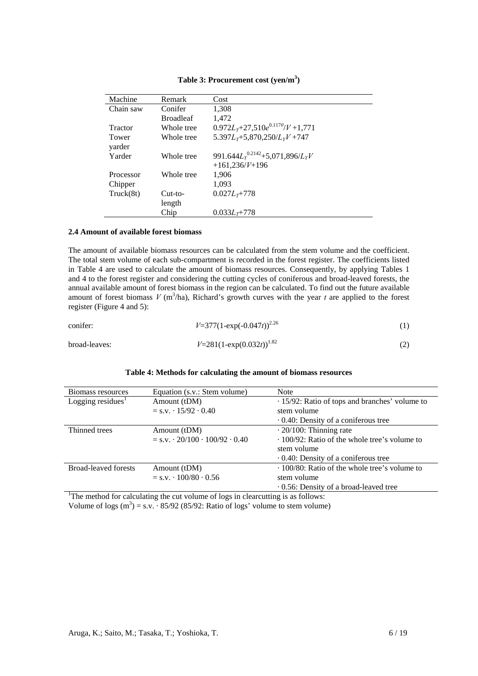| Machine        | Remark           | Cost                                         |
|----------------|------------------|----------------------------------------------|
| Chain saw      | Conifer          | 1,308                                        |
|                | <b>Broadleaf</b> | 1,472                                        |
| <b>Tractor</b> | Whole tree       | $0.972L_y + 27,510e^{0.117\theta}/V + 1,771$ |
| Tower          | Whole tree       | $5.397L_y + 5.870,250/L_yV + 747$            |
| yarder         |                  |                                              |
| Yarder         | Whole tree       | 991.644 $L_y^{0.2142}$ +5.071.896/ $L_yV$    |
|                |                  | $+161,236/V+196$                             |
| Processor      | Whole tree       | 1,906                                        |
| Chipper        |                  | 1.093                                        |
| Truck(8t)      | $Cut-to-$        | $0.027L_{\tau}$ +778                         |
|                | length           |                                              |
|                | Chip             | $0.033L_{\tau}+778$                          |

# Table 3: Procurement cost (yen/m<sup>3</sup>)

#### **2.4 Amount of available forest biomass**

The amount of available biomass resources can be calculated from the stem volume and the coefficient. The total stem volume of each sub-compartment is recorded in the forest register. The coefficients listed in Table 4 are used to calculate the amount of biomass resources. Consequently, by applying Tables 1 and 4 to the forest register and considering the cutting cycles of coniferous and broad-leaved forests, the annual available amount of forest biomass in the region can be calculated. To find out the future available amount of forest biomass  $V$  (m<sup>3</sup>/ha), Richard's growth curves with the year  $t$  are applied to the forest register (Figure 4 and 5):

| conifer:      | $V=377(1-\exp(-0.047t))^{2.26}$ |  |
|---------------|---------------------------------|--|
| broad-leaves: | $V=281(1-\exp(0.032t))^{1.82}$  |  |

## **Table 4: Methods for calculating the amount of biomass resources**

| Biomass resources                                                                | Equation (s.v.: Stem volume)                        | <b>Note</b>                                          |
|----------------------------------------------------------------------------------|-----------------------------------------------------|------------------------------------------------------|
| Logging residues $1$                                                             | Amount (tDM)                                        | $\cdot$ 15/92: Ratio of tops and branches' volume to |
|                                                                                  | $=$ s.v. $\cdot$ 15/92 $\cdot$ 0.40                 | stem volume                                          |
|                                                                                  |                                                     | $\cdot$ 0.40: Density of a coniferous tree           |
| Thinned trees                                                                    | Amount (tDM)                                        | $\cdot$ 20/100: Thinning rate                        |
|                                                                                  | $=$ s.v. $\cdot$ 20/100 $\cdot$ 100/92 $\cdot$ 0.40 | · 100/92: Ratio of the whole tree's volume to        |
|                                                                                  |                                                     | stem volume                                          |
|                                                                                  |                                                     | $\cdot$ 0.40: Density of a coniferous tree           |
| <b>Broad-leaved forests</b>                                                      | Amount (tDM)                                        | $\cdot$ 100/80: Ratio of the whole tree's volume to  |
|                                                                                  | $=$ s.v. $\cdot$ 100/80 $\cdot$ 0.56                | stem volume                                          |
|                                                                                  |                                                     | $\cdot$ 0.56: Density of a broad-leaved tree         |
| The method for calculating the cut volume of logs in clearcutting is as follows: |                                                     |                                                      |

Volume of logs  $(m^3) = s.v. \cdot 85/92$  (85/92: Ratio of logs' volume to stem volume)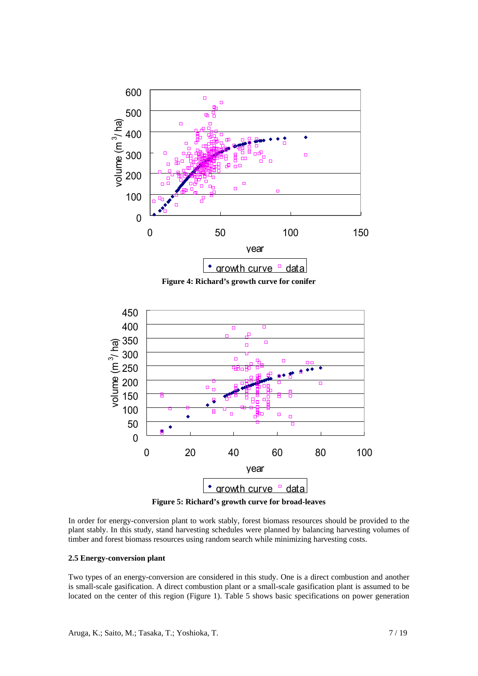

**Figure 4: Richard's growth curve for conifer** 



**Figure 5: Richard's growth curve for broad-leaves** 

In order for energy-conversion plant to work stably, forest biomass resources should be provided to the plant stably. In this study, stand harvesting schedules were planned by balancing harvesting volumes of timber and forest biomass resources using random search while minimizing harvesting costs.

## **2.5 Energy-conversion plant**

Two types of an energy-conversion are considered in this study. One is a direct combustion and another is small-scale gasification. A direct combustion plant or a small-scale gasification plant is assumed to be located on the center of this region (Figure 1). Table 5 shows basic specifications on power generation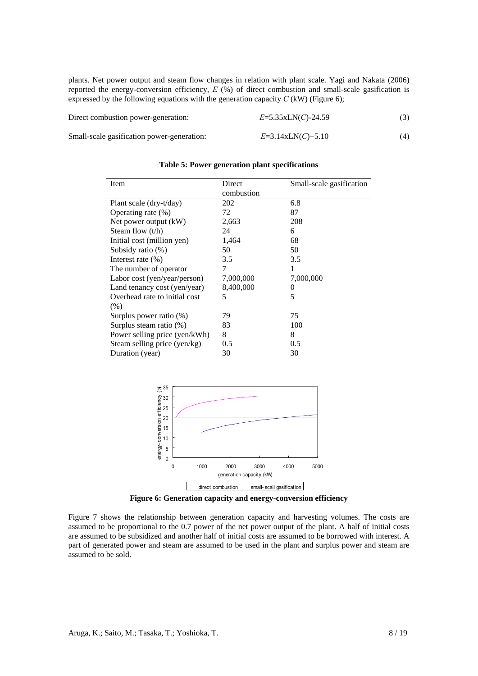plants. Net power output and steam flow changes in relation with plant scale. Yagi and Nakata (2006) reported the energy-conversion efficiency, *E* (%) of direct combustion and small-scale gasification is expressed by the following equations with the generation capacity  $C$  (kW) (Figure 6);

| Direct combustion power-generation:        | $E=5.35$ xLN(C)-24.59 |  |
|--------------------------------------------|-----------------------|--|
| Small-scale gasification power-generation: | $E=3.14xLN(C)+5.10$   |  |

| Item                          | Direct     | Small-scale gasification |
|-------------------------------|------------|--------------------------|
|                               | combustion |                          |
| Plant scale (dry-t/day)       | 202        | 6.8                      |
| Operating rate $(\%)$         | 72         | 87                       |
| Net power output $(kW)$       | 2,663      | 208                      |
| Steam flow $(t/h)$            | 24         | 6                        |
| Initial cost (million yen)    | 1,464      | 68                       |
| Subsidy ratio $(\%)$          | 50         | 50                       |
| Interest rate $(\% )$         | 3.5        | 3.5                      |
| The number of operator        | 7          |                          |
| Labor cost (yen/year/person)  | 7,000,000  | 7,000,000                |
| Land tenancy cost (yen/year)  | 8,400,000  |                          |
| Overhead rate to initial cost | 5          | 5                        |
| (% )                          |            |                          |
| Surplus power ratio $(\%)$    | 79         | 75                       |
| Surplus steam ratio $(\%)$    | 83         | 100                      |
| Power selling price (yen/kWh) | 8          | 8                        |
| Steam selling price (yen/kg)  | 0.5        | 0.5                      |
| Duration (year)               | 30         | 30                       |

**Table 5: Power generation plant specifications** 



**Figure 6: Generation capacity and energy-conversion efficiency** 

Figure 7 shows the relationship between generation capacity and harvesting volumes. The costs are assumed to be proportional to the 0.7 power of the net power output of the plant. A half of initial costs are assumed to be subsidized and another half of initial costs are assumed to be borrowed with interest. A part of generated power and steam are assumed to be used in the plant and surplus power and steam are assumed to be sold.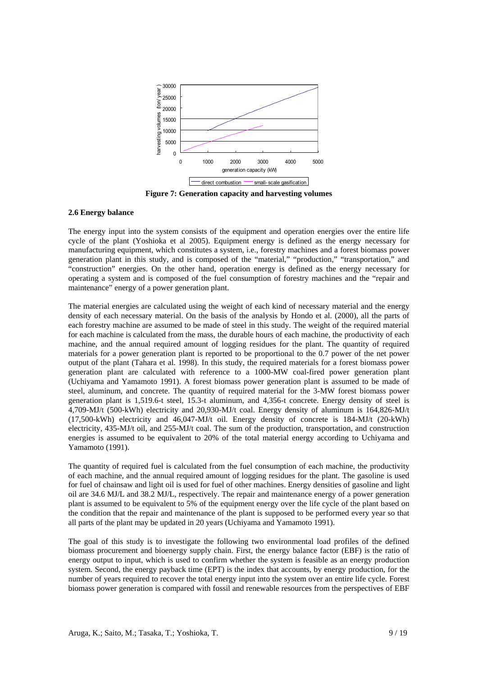

**Figure 7: Generation capacity and harvesting volumes** 

# **2.6 Energy balance**

The energy input into the system consists of the equipment and operation energies over the entire life cycle of the plant (Yoshioka et al 2005). Equipment energy is defined as the energy necessary for manufacturing equipment, which constitutes a system, i.e., forestry machines and a forest biomass power generation plant in this study, and is composed of the "material," "production," "transportation," and "construction" energies. On the other hand, operation energy is defined as the energy necessary for operating a system and is composed of the fuel consumption of forestry machines and the "repair and maintenance" energy of a power generation plant.

The material energies are calculated using the weight of each kind of necessary material and the energy density of each necessary material. On the basis of the analysis by Hondo et al. (2000), all the parts of each forestry machine are assumed to be made of steel in this study. The weight of the required material for each machine is calculated from the mass, the durable hours of each machine, the productivity of each machine, and the annual required amount of logging residues for the plant. The quantity of required materials for a power generation plant is reported to be proportional to the 0.7 power of the net power output of the plant (Tahara et al. 1998). In this study, the required materials for a forest biomass power generation plant are calculated with reference to a 1000-MW coal-fired power generation plant (Uchiyama and Yamamoto 1991). A forest biomass power generation plant is assumed to be made of steel, aluminum, and concrete. The quantity of required material for the 3-MW forest biomass power generation plant is 1,519.6-t steel, 15.3-t aluminum, and 4,356-t concrete. Energy density of steel is 4,709-MJ/t (500-kWh) electricity and 20,930-MJ/t coal. Energy density of aluminum is 164,826-MJ/t (17,500-kWh) electricity and 46,047-MJ/t oil. Energy density of concrete is 184-MJ/t (20-kWh) electricity, 435-MJ/t oil, and 255-MJ/t coal. The sum of the production, transportation, and construction energies is assumed to be equivalent to 20% of the total material energy according to Uchiyama and Yamamoto (1991).

The quantity of required fuel is calculated from the fuel consumption of each machine, the productivity of each machine, and the annual required amount of logging residues for the plant. The gasoline is used for fuel of chainsaw and light oil is used for fuel of other machines. Energy densities of gasoline and light oil are 34.6 MJ/L and 38.2 MJ/L, respectively. The repair and maintenance energy of a power generation plant is assumed to be equivalent to 5% of the equipment energy over the life cycle of the plant based on the condition that the repair and maintenance of the plant is supposed to be performed every year so that all parts of the plant may be updated in 20 years (Uchiyama and Yamamoto 1991).

The goal of this study is to investigate the following two environmental load profiles of the defined biomass procurement and bioenergy supply chain. First, the energy balance factor (EBF) is the ratio of energy output to input, which is used to confirm whether the system is feasible as an energy production system. Second, the energy payback time (EPT) is the index that accounts, by energy production, for the number of years required to recover the total energy input into the system over an entire life cycle. Forest biomass power generation is compared with fossil and renewable resources from the perspectives of EBF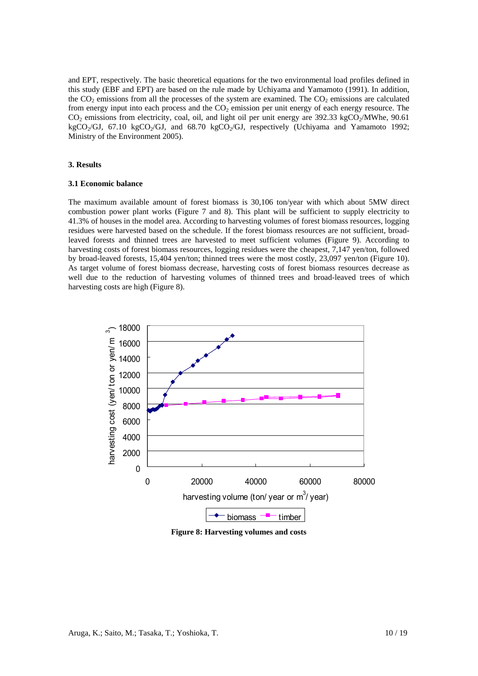and EPT, respectively. The basic theoretical equations for the two environmental load profiles defined in this study (EBF and EPT) are based on the rule made by Uchiyama and Yamamoto (1991). In addition, the  $CO<sub>2</sub>$  emissions from all the processes of the system are examined. The  $CO<sub>2</sub>$  emissions are calculated from energy input into each process and the  $CO<sub>2</sub>$  emission per unit energy of each energy resource. The  $CO<sub>2</sub>$  emissions from electricity, coal, oil, and light oil per unit energy are 392.33 kgCO<sub>2</sub>/MWhe, 90.61 kgCO<sub>2</sub>/GJ, 67.10 kgCO<sub>2</sub>/GJ, and 68.70 kgCO<sub>2</sub>/GJ, respectively (Uchiyama and Yamamoto 1992; Ministry of the Environment 2005).

## **3. Results**

## **3.1 Economic balance**

The maximum available amount of forest biomass is 30,106 ton/year with which about 5MW direct combustion power plant works (Figure 7 and 8). This plant will be sufficient to supply electricity to 41.3% of houses in the model area. According to harvesting volumes of forest biomass resources, logging residues were harvested based on the schedule. If the forest biomass resources are not sufficient, broadleaved forests and thinned trees are harvested to meet sufficient volumes (Figure 9). According to harvesting costs of forest biomass resources, logging residues were the cheapest, 7,147 yen/ton, followed by broad-leaved forests, 15,404 yen/ton; thinned trees were the most costly, 23,097 yen/ton (Figure 10). As target volume of forest biomass decrease, harvesting costs of forest biomass resources decrease as well due to the reduction of harvesting volumes of thinned trees and broad-leaved trees of which harvesting costs are high (Figure 8).



**Figure 8: Harvesting volumes and costs**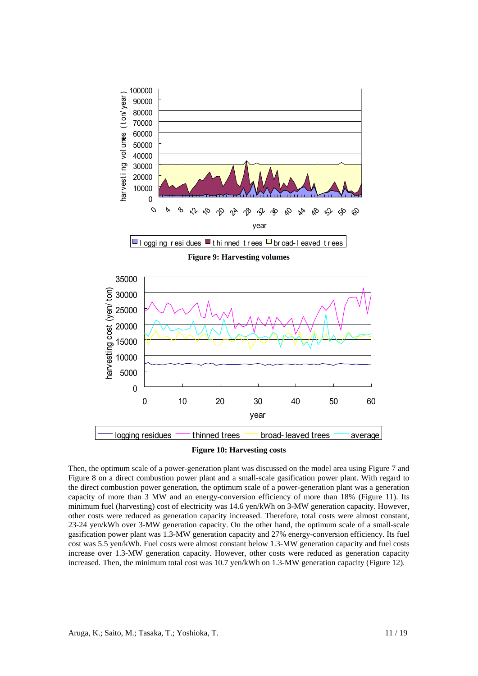

**Figure 9: Harvesting volumes** 



Then, the optimum scale of a power-generation plant was discussed on the model area using Figure 7 and Figure 8 on a direct combustion power plant and a small-scale gasification power plant. With regard to the direct combustion power generation, the optimum scale of a power-generation plant was a generation capacity of more than 3 MW and an energy-conversion efficiency of more than 18% (Figure 11). Its minimum fuel (harvesting) cost of electricity was 14.6 yen/kWh on 3-MW generation capacity. However, other costs were reduced as generation capacity increased. Therefore, total costs were almost constant, 23-24 yen/kWh over 3-MW generation capacity. On the other hand, the optimum scale of a small-scale gasification power plant was 1.3-MW generation capacity and 27% energy-conversion efficiency. Its fuel cost was 5.5 yen/kWh. Fuel costs were almost constant below 1.3-MW generation capacity and fuel costs increase over 1.3-MW generation capacity. However, other costs were reduced as generation capacity increased. Then, the minimum total cost was 10.7 yen/kWh on 1.3-MW generation capacity (Figure 12).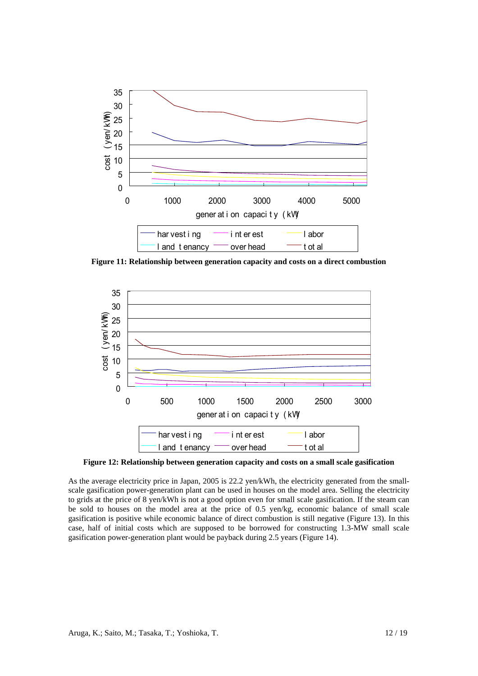

**Figure 11: Relationship between generation capacity and costs on a direct combustion** 



**Figure 12: Relationship between generation capacity and costs on a small scale gasification** 

As the average electricity price in Japan, 2005 is 22.2 yen/kWh, the electricity generated from the smallscale gasification power-generation plant can be used in houses on the model area. Selling the electricity to grids at the price of 8 yen/kWh is not a good option even for small scale gasification. If the steam can be sold to houses on the model area at the price of 0.5 yen/kg, economic balance of small scale gasification is positive while economic balance of direct combustion is still negative (Figure 13). In this case, half of initial costs which are supposed to be borrowed for constructing 1.3-MW small scale gasification power-generation plant would be payback during 2.5 years (Figure 14).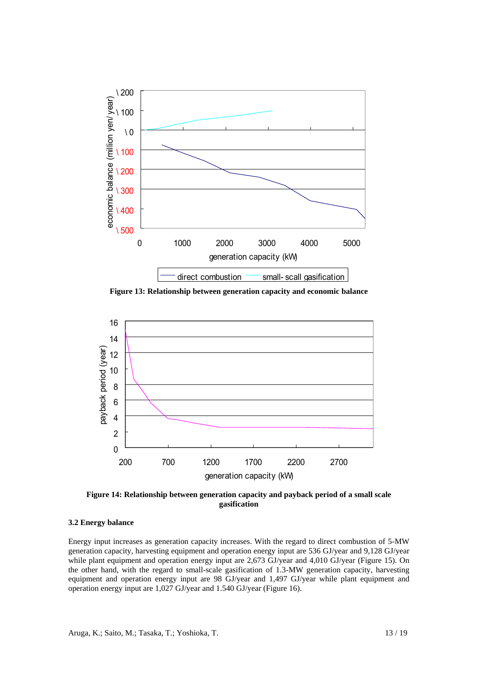

**Figure 13: Relationship between generation capacity and economic balance** 



**Figure 14: Relationship between generation capacity and payback period of a small scale gasification** 

# **3.2 Energy balance**

Energy input increases as generation capacity increases. With the regard to direct combustion of 5-MW generation capacity, harvesting equipment and operation energy input are 536 GJ/year and 9,128 GJ/year while plant equipment and operation energy input are 2,673 GJ/year and 4,010 GJ/year (Figure 15). On the other hand, with the regard to small-scale gasification of 1.3-MW generation capacity, harvesting equipment and operation energy input are 98 GJ/year and 1,497 GJ/year while plant equipment and operation energy input are 1,027 GJ/year and 1.540 GJ/year (Figure 16).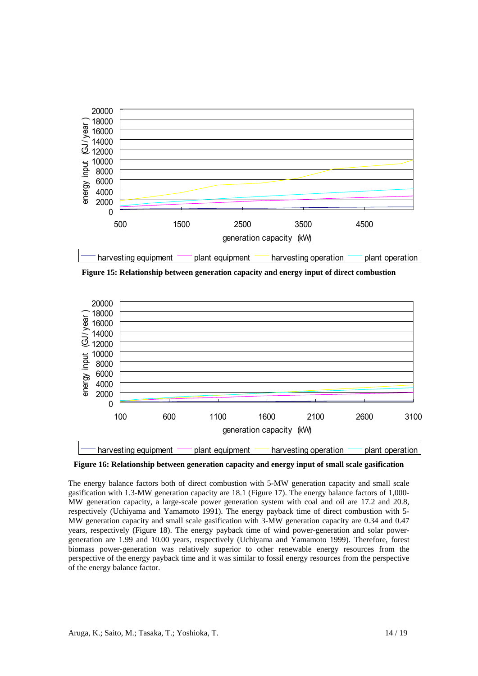

**Figure 15: Relationship between generation capacity and energy input of direct combustion** 



**Figure 16: Relationship between generation capacity and energy input of small scale gasification** 

The energy balance factors both of direct combustion with 5-MW generation capacity and small scale gasification with 1.3-MW generation capacity are 18.1 (Figure 17). The energy balance factors of 1,000- MW generation capacity, a large-scale power generation system with coal and oil are 17.2 and 20.8, respectively (Uchiyama and Yamamoto 1991). The energy payback time of direct combustion with 5- MW generation capacity and small scale gasification with 3-MW generation capacity are 0.34 and 0.47 years, respectively (Figure 18). The energy payback time of wind power-generation and solar powergeneration are 1.99 and 10.00 years, respectively (Uchiyama and Yamamoto 1999). Therefore, forest biomass power-generation was relatively superior to other renewable energy resources from the perspective of the energy payback time and it was similar to fossil energy resources from the perspective of the energy balance factor.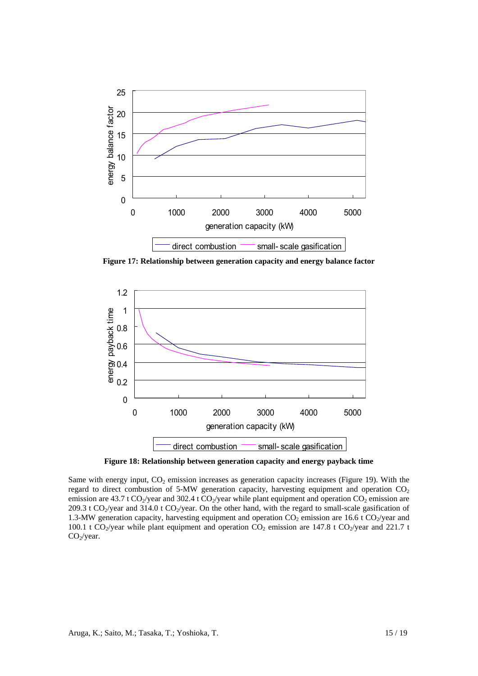

**Figure 17: Relationship between generation capacity and energy balance factor** 



**Figure 18: Relationship between generation capacity and energy payback time** 

Same with energy input,  $CO<sub>2</sub>$  emission increases as generation capacity increases (Figure 19). With the regard to direct combustion of  $5-MW$  generation capacity, harvesting equipment and operation  $CO<sub>2</sub>$ emission are 43.7 t CO<sub>2</sub>/year and 302.4 t CO<sub>2</sub>/year while plant equipment and operation CO<sub>2</sub> emission are 209.3 t CO<sub>2</sub>/year and 314.0 t CO<sub>2</sub>/year. On the other hand, with the regard to small-scale gasification of 1.3-MW generation capacity, harvesting equipment and operation  $CO<sub>2</sub>$  emission are 16.6 t  $CO<sub>2</sub>/year$  and 100.1 t CO<sub>2</sub>/year while plant equipment and operation CO<sub>2</sub> emission are 147.8 t CO<sub>2</sub>/year and 221.7 t  $CO<sub>2</sub>/year.$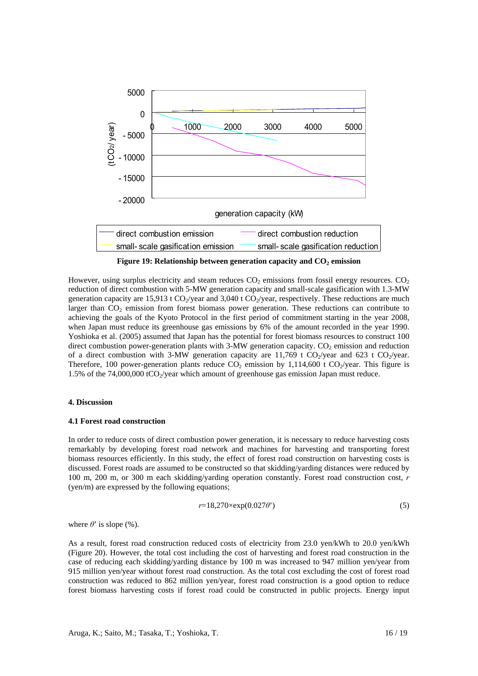

**Figure 19: Relationship between generation capacity and CO<sub>2</sub> emission** 

However, using surplus electricity and steam reduces  $CO<sub>2</sub>$  emissions from fossil energy resources.  $CO<sub>2</sub>$ reduction of direct combustion with 5-MW generation capacity and small-scale gasification with 1.3-MW generation capacity are 15,913 t CO<sub>2</sub>/year and 3,040 t CO<sub>2</sub>/year, respectively. These reductions are much larger than  $CO<sub>2</sub>$  emission from forest biomass power generation. These reductions can contribute to achieving the goals of the Kyoto Protocol in the first period of commitment starting in the year 2008, when Japan must reduce its greenhouse gas emissions by 6% of the amount recorded in the year 1990. Yoshioka et al. (2005) assumed that Japan has the potential for forest biomass resources to construct 100 direct combustion power-generation plants with  $3-MW$  generation capacity.  $CO<sub>2</sub>$  emission and reduction of a direct combustion with 3-MW generation capacity are 11,769 t CO<sub>2</sub>/year and 623 t CO<sub>2</sub>/year. Therefore, 100 power-generation plants reduce  $CO_2$  emission by 1,114,600 t  $CO_2$ /year. This figure is 1.5% of the 74,000,000 tCO $_2$ /year which amount of greenhouse gas emission Japan must reduce.

# **4. Discussion**

#### **4.1 Forest road construction**

In order to reduce costs of direct combustion power generation, it is necessary to reduce harvesting costs remarkably by developing forest road network and machines for harvesting and transporting forest biomass resources efficiently. In this study, the effect of forest road construction on harvesting costs is discussed. Forest roads are assumed to be constructed so that skidding/yarding distances were reduced by 100 m, 200 m, or 300 m each skidding/yarding operation constantly. Forest road construction cost, *r* (yen/m) are expressed by the following equations;

$$
r=18,270\times\exp(0.027\theta^*)
$$
\n<sup>(5)</sup>

where  $\theta$ ' is slope (%).

As a result, forest road construction reduced costs of electricity from 23.0 yen/kWh to 20.0 yen/kWh (Figure 20). However, the total cost including the cost of harvesting and forest road construction in the case of reducing each skidding/yarding distance by 100 m was increased to 947 million yen/year from 915 million yen/year without forest road construction. As the total cost excluding the cost of forest road construction was reduced to 862 million yen/year, forest road construction is a good option to reduce forest biomass harvesting costs if forest road could be constructed in public projects. Energy input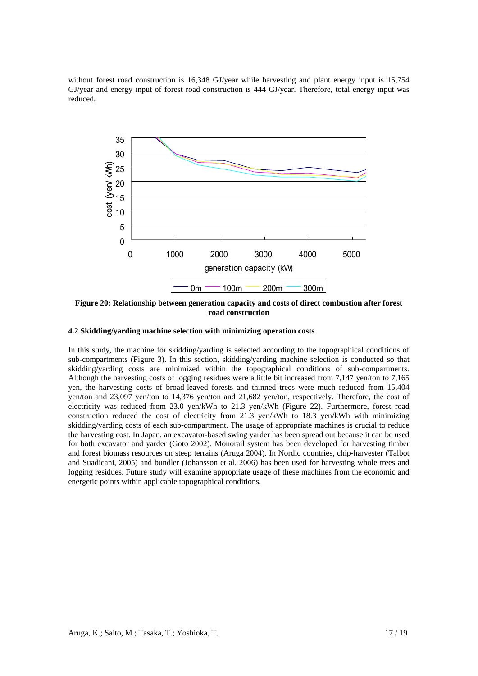without forest road construction is 16,348 GJ/year while harvesting and plant energy input is 15,754 GJ/year and energy input of forest road construction is 444 GJ/year. Therefore, total energy input was reduced.



**Figure 20: Relationship between generation capacity and costs of direct combustion after forest road construction** 

#### **4.2 Skidding/yarding machine selection with minimizing operation costs**

In this study, the machine for skidding/yarding is selected according to the topographical conditions of sub-compartments (Figure 3). In this section, skidding/yarding machine selection is conducted so that skidding/yarding costs are minimized within the topographical conditions of sub-compartments. Although the harvesting costs of logging residues were a little bit increased from 7,147 yen/ton to 7,165 yen, the harvesting costs of broad-leaved forests and thinned trees were much reduced from 15,404 yen/ton and 23,097 yen/ton to 14,376 yen/ton and 21,682 yen/ton, respectively. Therefore, the cost of electricity was reduced from 23.0 yen/kWh to 21.3 yen/kWh (Figure 22). Furthermore, forest road construction reduced the cost of electricity from 21.3 yen/kWh to 18.3 yen/kWh with minimizing skidding/yarding costs of each sub-compartment. The usage of appropriate machines is crucial to reduce the harvesting cost. In Japan, an excavator-based swing yarder has been spread out because it can be used for both excavator and yarder (Goto 2002). Monorail system has been developed for harvesting timber and forest biomass resources on steep terrains (Aruga 2004). In Nordic countries, chip-harvester (Talbot and Suadicani, 2005) and bundler (Johansson et al. 2006) has been used for harvesting whole trees and logging residues. Future study will examine appropriate usage of these machines from the economic and energetic points within applicable topographical conditions.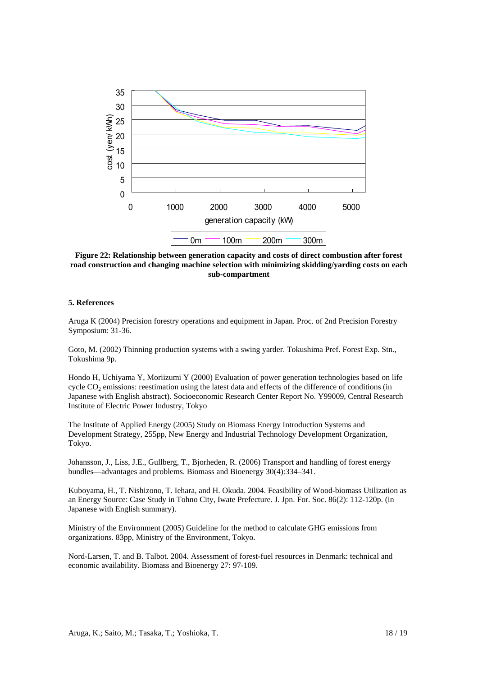

**Figure 22: Relationship between generation capacity and costs of direct combustion after forest road construction and changing machine selection with minimizing skidding/yarding costs on each sub-compartment** 

# **5. References**

Aruga K (2004) Precision forestry operations and equipment in Japan. Proc. of 2nd Precision Forestry Symposium: 31-36.

Goto, M. (2002) Thinning production systems with a swing yarder. Tokushima Pref. Forest Exp. Stn., Tokushima 9p.

Hondo H, Uchiyama Y, Moriizumi Y (2000) Evaluation of power generation technologies based on life cycle  $CO<sub>2</sub>$  emissions: reestimation using the latest data and effects of the difference of conditions (in Japanese with English abstract). Socioeconomic Research Center Report No. Y99009, Central Research Institute of Electric Power Industry, Tokyo

The Institute of Applied Energy (2005) Study on Biomass Energy Introduction Systems and Development Strategy, 255pp, New Energy and Industrial Technology Development Organization, Tokyo.

Johansson, J., Liss, J.E., Gullberg, T., Bjorheden, R. (2006) Transport and handling of forest energy bundles—advantages and problems. Biomass and Bioenergy 30(4):334–341.

Kuboyama, H., T. Nishizono, T. Iehara, and H. Okuda. 2004. Feasibility of Wood-biomass Utilization as an Energy Source: Case Study in Tohno City, Iwate Prefecture. J. Jpn. For. Soc. 86(2): 112-120p. (in Japanese with English summary).

Ministry of the Environment (2005) Guideline for the method to calculate GHG emissions from organizations. 83pp, Ministry of the Environment, Tokyo.

Nord-Larsen, T. and B. Talbot. 2004. Assessment of forest-fuel resources in Denmark: technical and economic availability. Biomass and Bioenergy 27: 97-109.